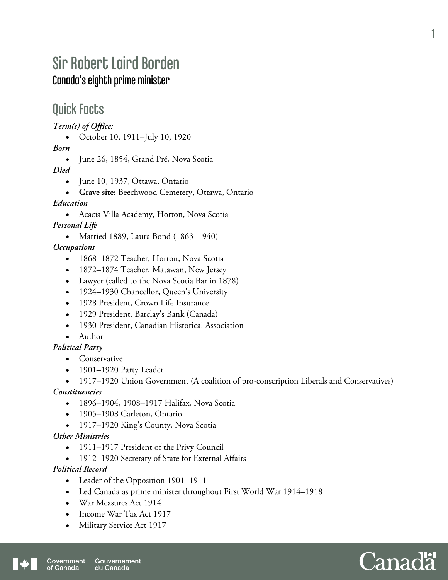# Sir Robert Laird Borden Canada's eighth prime minister

### Quick Facts

*Term(s) of Office:* 

October 10, 1911–July 10, 1920

*Born* 

• June 26, 1854, Grand Pré, Nova Scotia

*Died* 

- June 10, 1937, Ottawa, Ontario
- **Grave site:** Beechwood Cemetery, Ottawa, Ontario

*Education* 

Acacia Villa Academy, Horton, Nova Scotia

*Personal Life* 

• Married 1889, Laura Bond (1863–1940)

*Occupations* 

- 1868–1872 Teacher, Horton, Nova Scotia
- 1872–1874 Teacher, Matawan, New Jersey
- Lawyer (called to the Nova Scotia Bar in 1878)
- 1924–1930 Chancellor, Queen's University
- 1928 President, Crown Life Insurance
- 1929 President, Barclay's Bank (Canada)
- 1930 President, Canadian Historical Association
- Author

#### *Political Party*

- Conservative
- 1901–1920 Party Leader
- 1917–1920 Union Government (A coalition of pro-conscription Liberals and Conservatives)

#### *Constituencies*

- 1896–1904, 1908–1917 Halifax, Nova Scotia
- 1905–1908 Carleton, Ontario
- 1917–1920 King's County, Nova Scotia

#### *Other Ministries*

- 1911–1917 President of the Privy Council
- 1912–1920 Secretary of State for External Affairs

#### *Political Record*

- Leader of the Opposition 1901–1911
- Led Canada as prime minister throughout First World War 1914–1918
- War Measures Act 1914
- Income War Tax Act 1917
- Military Service Act 1917

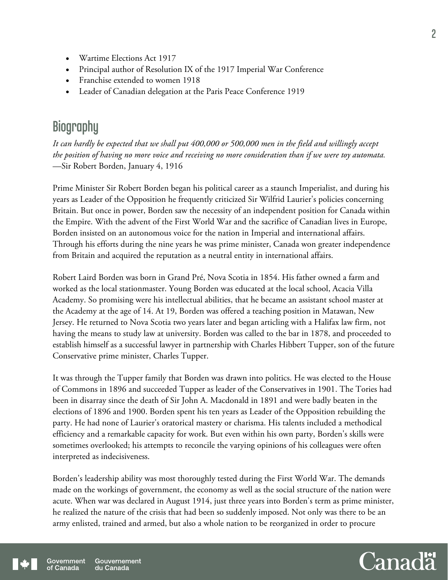- Wartime Elections Act 1917
- Principal author of Resolution IX of the 1917 Imperial War Conference
- Franchise extended to women 1918
- Leader of Canadian delegation at the Paris Peace Conference 1919

### **Biography**

*It can hardly be expected that we shall put 400,000 or 500,000 men in the field and willingly accept the position of having no more voice and receiving no more consideration than if we were toy automata.*  —Sir Robert Borden, January 4, 1916

Prime Minister Sir Robert Borden began his political career as a staunch Imperialist, and during his years as Leader of the Opposition he frequently criticized Sir Wilfrid Laurier's policies concerning Britain. But once in power, Borden saw the necessity of an independent position for Canada within the Empire. With the advent of the First World War and the sacrifice of Canadian lives in Europe, Borden insisted on an autonomous voice for the nation in Imperial and international affairs. Through his efforts during the nine years he was prime minister, Canada won greater independence from Britain and acquired the reputation as a neutral entity in international affairs.

Robert Laird Borden was born in Grand Pré, Nova Scotia in 1854. His father owned a farm and worked as the local stationmaster. Young Borden was educated at the local school, Acacia Villa Academy. So promising were his intellectual abilities, that he became an assistant school master at the Academy at the age of 14. At 19, Borden was offered a teaching position in Matawan, New Jersey. He returned to Nova Scotia two years later and began articling with a Halifax law firm, not having the means to study law at university. Borden was called to the bar in 1878, and proceeded to establish himself as a successful lawyer in partnership with Charles Hibbert Tupper, son of the future Conservative prime minister, Charles Tupper.

It was through the Tupper family that Borden was drawn into politics. He was elected to the House of Commons in 1896 and succeeded Tupper as leader of the Conservatives in 1901. The Tories had been in disarray since the death of Sir John A. Macdonald in 1891 and were badly beaten in the elections of 1896 and 1900. Borden spent his ten years as Leader of the Opposition rebuilding the party. He had none of Laurier's oratorical mastery or charisma. His talents included a methodical efficiency and a remarkable capacity for work. But even within his own party, Borden's skills were sometimes overlooked; his attempts to reconcile the varying opinions of his colleagues were often interpreted as indecisiveness.

Borden's leadership ability was most thoroughly tested during the First World War. The demands made on the workings of government, the economy as well as the social structure of the nation were acute. When war was declared in August 1914, just three years into Borden's term as prime minister, he realized the nature of the crisis that had been so suddenly imposed. Not only was there to be an army enlisted, trained and armed, but also a whole nation to be reorganized in order to procure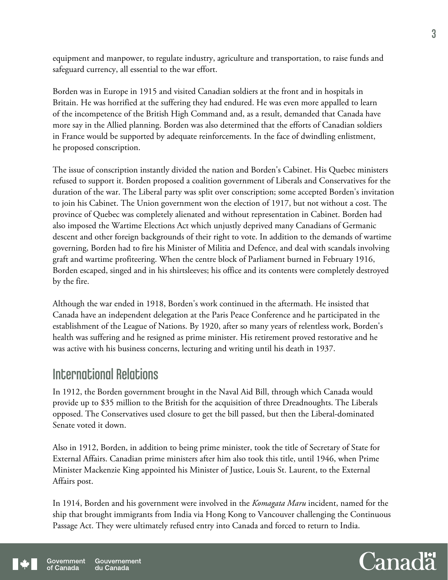equipment and manpower, to regulate industry, agriculture and transportation, to raise funds and safeguard currency, all essential to the war effort.

Borden was in Europe in 1915 and visited Canadian soldiers at the front and in hospitals in Britain. He was horrified at the suffering they had endured. He was even more appalled to learn of the incompetence of the British High Command and, as a result, demanded that Canada have more say in the Allied planning. Borden was also determined that the efforts of Canadian soldiers in France would be supported by adequate reinforcements. In the face of dwindling enlistment, he proposed conscription.

The issue of conscription instantly divided the nation and Borden's Cabinet. His Quebec ministers refused to support it. Borden proposed a coalition government of Liberals and Conservatives for the duration of the war. The Liberal party was split over conscription; some accepted Borden's invitation to join his Cabinet. The Union government won the election of 1917, but not without a cost. The province of Quebec was completely alienated and without representation in Cabinet. Borden had also imposed the Wartime Elections Act which unjustly deprived many Canadians of Germanic descent and other foreign backgrounds of their right to vote. In addition to the demands of wartime governing, Borden had to fire his Minister of Militia and Defence, and deal with scandals involving graft and wartime profiteering. When the centre block of Parliament burned in February 1916, Borden escaped, singed and in his shirtsleeves; his office and its contents were completely destroyed by the fire.

Although the war ended in 1918, Borden's work continued in the aftermath. He insisted that Canada have an independent delegation at the Paris Peace Conference and he participated in the establishment of the League of Nations. By 1920, after so many years of relentless work, Borden's health was suffering and he resigned as prime minister. His retirement proved restorative and he was active with his business concerns, lecturing and writing until his death in 1937.

### International Relations

In 1912, the Borden government brought in the Naval Aid Bill, through which Canada would provide up to \$35 million to the British for the acquisition of three Dreadnoughts. The Liberals opposed. The Conservatives used closure to get the bill passed, but then the Liberal-dominated Senate voted it down.

Also in 1912, Borden, in addition to being prime minister, took the title of Secretary of State for External Affairs. Canadian prime ministers after him also took this title, until 1946, when Prime Minister Mackenzie King appointed his Minister of Justice, Louis St. Laurent, to the External Affairs post.

In 1914, Borden and his government were involved in the *Komagata Maru* incident, named for the ship that brought immigrants from India via Hong Kong to Vancouver challenging the Continuous Passage Act. They were ultimately refused entry into Canada and forced to return to India.

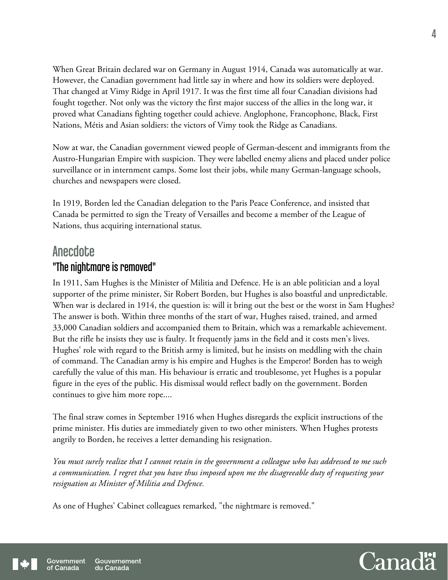When Great Britain declared war on Germany in August 1914, Canada was automatically at war. However, the Canadian government had little say in where and how its soldiers were deployed. That changed at Vimy Ridge in April 1917. It was the first time all four Canadian divisions had fought together. Not only was the victory the first major success of the allies in the long war, it proved what Canadians fighting together could achieve. Anglophone, Francophone, Black, First Nations, Métis and Asian soldiers: the victors of Vimy took the Ridge as Canadians.

Now at war, the Canadian government viewed people of German-descent and immigrants from the Austro-Hungarian Empire with suspicion. They were labelled enemy aliens and placed under police surveillance or in internment camps. Some lost their jobs, while many German-language schools, churches and newspapers were closed.

In 1919, Borden led the Canadian delegation to the Paris Peace Conference, and insisted that Canada be permitted to sign the Treaty of Versailles and become a member of the League of Nations, thus acquiring international status.

### **Anecdote** "The nightmare is removed"

In 1911, Sam Hughes is the Minister of Militia and Defence. He is an able politician and a loyal supporter of the prime minister, Sir Robert Borden, but Hughes is also boastful and unpredictable. When war is declared in 1914, the question is: will it bring out the best or the worst in Sam Hughes? The answer is both. Within three months of the start of war, Hughes raised, trained, and armed 33,000 Canadian soldiers and accompanied them to Britain, which was a remarkable achievement. But the rifle he insists they use is faulty. It frequently jams in the field and it costs men's lives. Hughes' role with regard to the British army is limited, but he insists on meddling with the chain of command. The Canadian army is his empire and Hughes is the Emperor! Borden has to weigh carefully the value of this man. His behaviour is erratic and troublesome, yet Hughes is a popular figure in the eyes of the public. His dismissal would reflect badly on the government. Borden continues to give him more rope....

The final straw comes in September 1916 when Hughes disregards the explicit instructions of the prime minister. His duties are immediately given to two other ministers. When Hughes protests angrily to Borden, he receives a letter demanding his resignation.

*You must surely realize that I cannot retain in the government a colleague who has addressed to me such a communication. I regret that you have thus imposed upon me the disagreeable duty of requesting your resignation as Minister of Militia and Defence.* 

As one of Hughes' Cabinet colleagues remarked, "the nightmare is removed."